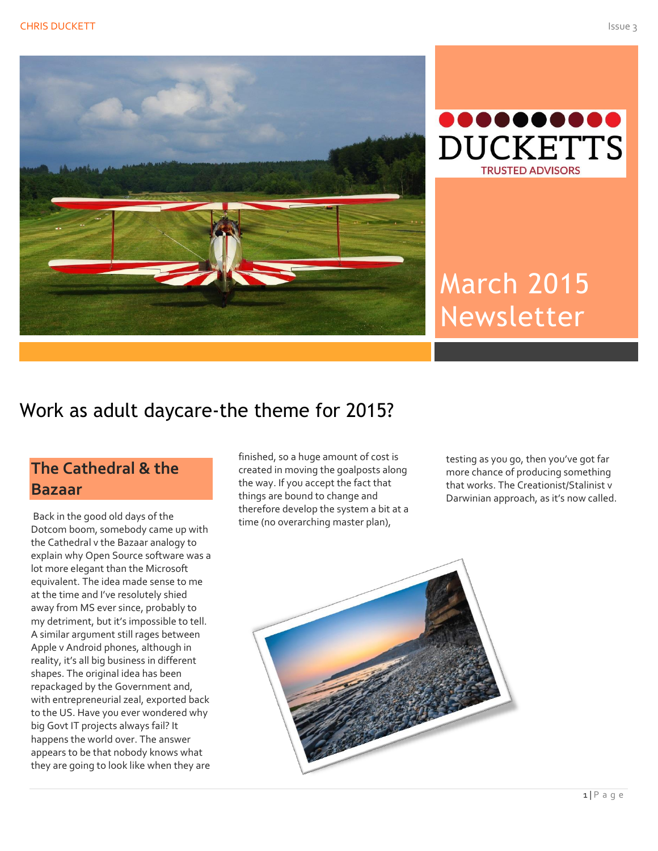



# March 2015 Newsletter

# Work as adult daycare-the theme for 2015?

### **The Cathedral & the Bazaar**

Back in the good old days of the Dotcom boom, somebody came up with the Cathedral v the Bazaar analogy to explain why Open Source software was a lot more elegant than the Microsoft equivalent. The idea made sense to me at the time and I've resolutely shied away from MS ever since, probably to my detriment, but it's impossible to tell. A similar argument still rages between Apple v Android phones, although in reality, it's all big business in different shapes. The original idea has been repackaged by the Government and, with entrepreneurial zeal, exported back to the US. Have you ever wondered why big Govt IT projects always fail? It happens the world over. The answer appears to be that nobody knows what they are going to look like when they are

finished, so a huge amount of cost is created in moving the goalposts along the way. If you accept the fact that things are bound to change and therefore develop the system a bit at a time (no overarching master plan),

testing as you go, then you've got far more chance of producing something that works. The Creationist/Stalinist v Darwinian approach, as it's now called.

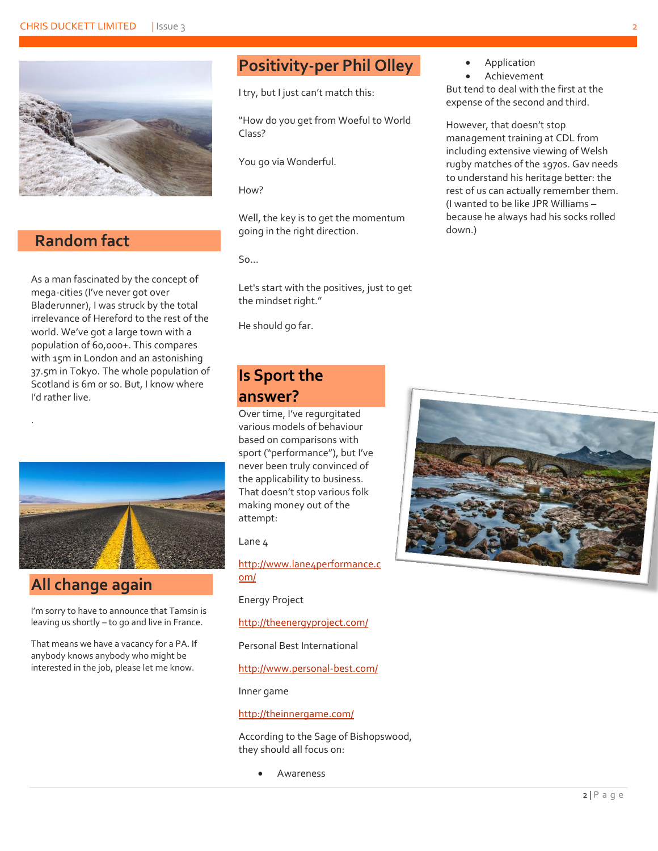

#### **Random fact**

.

As a man fascinated by the concept of mega-cities (I've never got over Bladerunner), I was struck by the total irrelevance of Hereford to the rest of the world. We've got a large town with a population of 60,000+. This compares with 15m in London and an astonishing 37.5m in Tokyo. The whole population of Scotland is 6m or so. But, I know where I'd rather live.



#### **All change again**

I'm sorry to have to announce that Tamsin is leaving us shortly – to go and live in France.

That means we have a vacancy for a PA. If anybody knows anybody who might be interested in the job, please let me know.

# **Positivity-per Phil Olley**

I try, but I just can't match this:

"How do you get from Woeful to World Class?

You go via Wonderful.

How?

Well, the key is to get the momentum going in the right direction.

 $50<sub>0</sub>$ 

Let's start with the positives, just to get the mindset right."

He should go far.

#### **Is Sport the answer?**

Over time, I've regurgitated various models of behaviour based on comparisons with sport ("performance"), but I've never been truly convinced of the applicability to business. That doesn't stop various folk making money out of the attempt:

Lane 4

[http://www.lane4performance.c](http://www.lane4performance.com/) [om/](http://www.lane4performance.com/)

Energy Project

<http://theenergyproject.com/>

Personal Best International

<http://www.personal-best.com/>

Inner game

<http://theinnergame.com/>

According to the Sage of Bishopswood, they should all focus on:

Awareness

- Application
- Achievement

But tend to deal with the first at the expense of the second and third.

However, that doesn't stop management training at CDL from including extensive viewing of Welsh rugby matches of the 1970s. Gav needs to understand his heritage better: the rest of us can actually remember them. (I wanted to be like JPR Williams – because he always had his socks rolled down.)

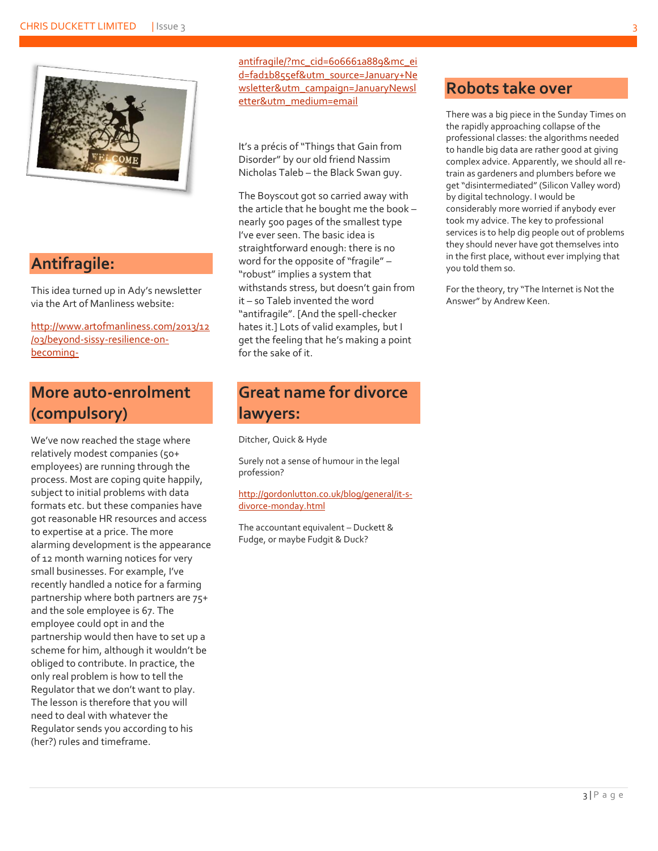

#### **Antifragile:**

This idea turned up in Ady's newsletter via the Art of Manliness website:

[http://www.artofmanliness.com/2013/12](http://www.artofmanliness.com/2013/12/03/beyond-sissy-resilience-on-becoming-antifragile/?mc_cid=606661a889&mc_eid=fad1b855ef&utm_source=January+Newsletter&utm_campaign=JanuaryNewsletter&utm_medium=email) [/03/beyond-sissy-resilience-on](http://www.artofmanliness.com/2013/12/03/beyond-sissy-resilience-on-becoming-antifragile/?mc_cid=606661a889&mc_eid=fad1b855ef&utm_source=January+Newsletter&utm_campaign=JanuaryNewsletter&utm_medium=email)[becoming-](http://www.artofmanliness.com/2013/12/03/beyond-sissy-resilience-on-becoming-antifragile/?mc_cid=606661a889&mc_eid=fad1b855ef&utm_source=January+Newsletter&utm_campaign=JanuaryNewsletter&utm_medium=email)

#### **More auto-enrolment (compulsory)**

We've now reached the stage where relatively modest companies (50+ employees) are running through the process. Most are coping quite happily, subject to initial problems with data formats etc. but these companies have got reasonable HR resources and access to expertise at a price. The more alarming development is the appearance of 12 month warning notices for very small businesses. For example, I've recently handled a notice for a farming partnership where both partners are 75+ and the sole employee is 67. The employee could opt in and the partnership would then have to set up a scheme for him, although it wouldn't be obliged to contribute. In practice, the only real problem is how to tell the Regulator that we don't want to play. The lesson is therefore that you will need to deal with whatever the Regulator sends you according to his (her?) rules and timeframe.

[antifragile/?mc\\_cid=606661a889&mc\\_ei](http://www.artofmanliness.com/2013/12/03/beyond-sissy-resilience-on-becoming-antifragile/?mc_cid=606661a889&mc_eid=fad1b855ef&utm_source=January+Newsletter&utm_campaign=JanuaryNewsletter&utm_medium=email) [d=fad1b855ef&utm\\_source=January+Ne](http://www.artofmanliness.com/2013/12/03/beyond-sissy-resilience-on-becoming-antifragile/?mc_cid=606661a889&mc_eid=fad1b855ef&utm_source=January+Newsletter&utm_campaign=JanuaryNewsletter&utm_medium=email) [wsletter&utm\\_campaign=JanuaryNewsl](http://www.artofmanliness.com/2013/12/03/beyond-sissy-resilience-on-becoming-antifragile/?mc_cid=606661a889&mc_eid=fad1b855ef&utm_source=January+Newsletter&utm_campaign=JanuaryNewsletter&utm_medium=email) [etter&utm\\_medium=email](http://www.artofmanliness.com/2013/12/03/beyond-sissy-resilience-on-becoming-antifragile/?mc_cid=606661a889&mc_eid=fad1b855ef&utm_source=January+Newsletter&utm_campaign=JanuaryNewsletter&utm_medium=email)

It's a précis of "Things that Gain from Disorder" by our old friend Nassim Nicholas Taleb – the Black Swan guy.

The Boyscout got so carried away with the article that he bought me the book – nearly 500 pages of the smallest type I've ever seen. The basic idea is straightforward enough: there is no word for the opposite of "fragile" – "robust" implies a system that withstands stress, but doesn't gain from it – so Taleb invented the word "antifragile". [And the spell-checker hates it.] Lots of valid examples, but I get the feeling that he's making a point for the sake of it.

#### **Great name for divorce lawyers:**

Ditcher, Quick & Hyde

Surely not a sense of humour in the legal profession?

#### [http://gordonlutton.co.uk/blog/general/it-s](http://gordonlutton.co.uk/blog/general/it-s-divorce-monday.html)[divorce-monday.html](http://gordonlutton.co.uk/blog/general/it-s-divorce-monday.html)

The accountant equivalent – Duckett & Fudge, or maybe Fudgit & Duck?

#### **Robots take over**

There was a big piece in the Sunday Times on the rapidly approaching collapse of the professional classes: the algorithms needed to handle big data are rather good at giving complex advice. Apparently, we should all retrain as gardeners and plumbers before we get "disintermediated" (Silicon Valley word) by digital technology. I would be considerably more worried if anybody ever took my advice. The key to professional services is to help dig people out of problems they should never have got themselves into in the first place, without ever implying that you told them so.

For the theory, try "The Internet is Not the Answer" by Andrew Keen.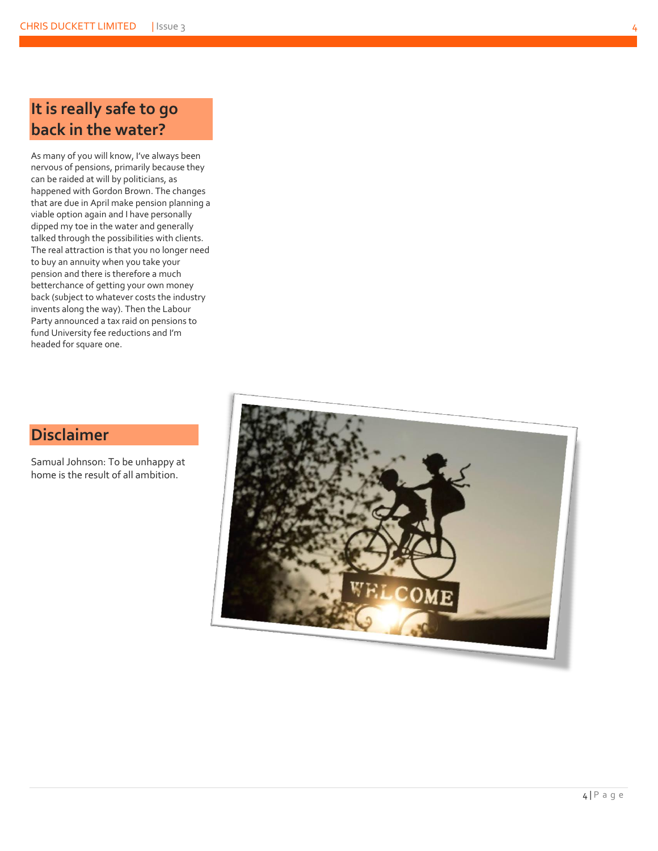As many of you will know, I've always been nervous of pensions, primarily because they can be raided at will by politicians, as happened with Gordon Brown. The changes that are due in April make pension planning a viable option again and I have personally dipped my toe in the water and generally talked through the possibilities with clients. The real attraction is that you no longer need to buy an annuity when you take your pension and there is therefore a much betterchance of getting your own money back (subject to whatever costs the industry invents along the way). Then the Labour Party announced a tax raid on pensions to fund University fee reductions and I'm headed for square one.

### **Disclaimer**

Samual Johnson: To be unhappy at home is the result of all ambition.